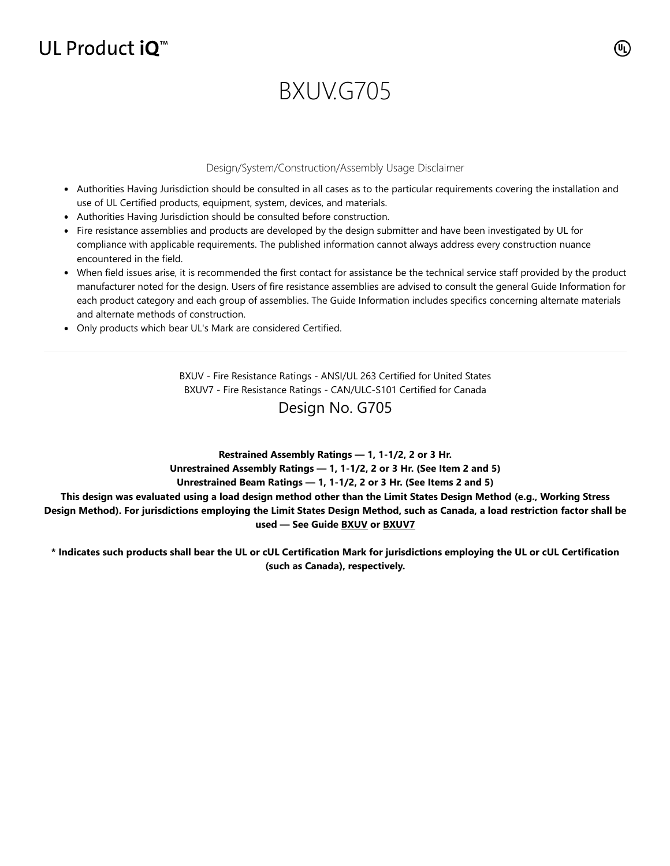## UL Product iQ<sup>™</sup>

# BXUV.G705

#### Design/System/Construction/Assembly Usage Disclaimer

- Authorities Having Jurisdiction should be consulted in all cases as to the particular requirements covering the installation and use of UL Certified products, equipment, system, devices, and materials.
- Authorities Having Jurisdiction should be consulted before construction.
- Fire resistance assemblies and products are developed by the design submitter and have been investigated by UL for compliance with applicable requirements. The published information cannot always address every construction nuance encountered in the field.
- When field issues arise, it is recommended the first contact for assistance be the technical service staff provided by the product manufacturer noted for the design. Users of fire resistance assemblies are advised to consult the general Guide Information for each product category and each group of assemblies. The Guide Information includes specifics concerning alternate materials and alternate methods of construction.
- Only products which bear UL's Mark are considered Certified.

BXUV - Fire Resistance Ratings - ANSI/UL 263 Certified for United States BXUV7 - Fire Resistance Ratings - CAN/ULC-S101 Certified for Canada

### Design No. G705

**Restrained Assembly Ratings — 1, 1-1/2, 2 or 3 Hr.**

**Unrestrained Assembly Ratings — 1, 1-1/2, 2 or 3 Hr. (See Item 2 and 5)**

#### **Unrestrained Beam Ratings — 1, 1-1/2, 2 or 3 Hr. (See Items 2 and 5)**

**This design was evaluated using a load design method other than the Limit States Design Method (e.g., Working Stress Design Method). For jurisdictions employing the Limit States Design Method, such as Canada, a load restriction factor shall be used — See Guide [BXUV](https://database.ul.com/cgi-bin/XYV/template/LISEXT/1FRAME/showpage.html?name=BXUV.GuideInfo&ccnshorttitle=Fire-resistance+Ratings+-+ANSI/UL+263&objid=1074327030&cfgid=1073741824&version=versionless&parent_id=1073984818&sequence=1) or [BXUV7](https://database.ul.com/cgi-bin/XYV/template/LISEXT/1FRAME/showpage.html?name=BXUV7.GuideInfo&ccnshorttitle=Fire+Resistance+Ratings+-+CAN/ULC-S101M+Certified+for+Canada&objid=1074205658&cfgid=1073741824&version=versionless&parent_id=1073984820&sequence=1)**

**\* Indicates such products shall bear the UL or cUL Certification Mark for jurisdictions employing the UL or cUL Certification (such as Canada), respectively.**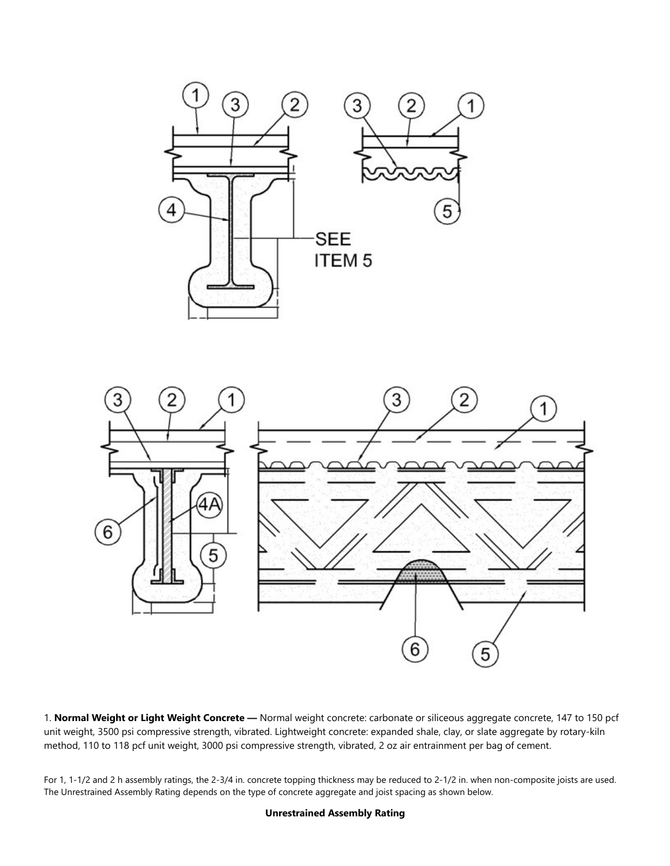



1. **Normal Weight or Light Weight Concrete —** Normal weight concrete: carbonate or siliceous aggregate concrete, 147 to 150 pcf unit weight, 3500 psi compressive strength, vibrated. Lightweight concrete: expanded shale, clay, or slate aggregate by rotary-kiln method, 110 to 118 pcf unit weight, 3000 psi compressive strength, vibrated, 2 oz air entrainment per bag of cement.

For 1, 1-1/2 and 2 h assembly ratings, the 2-3/4 in. concrete topping thickness may be reduced to 2-1/2 in. when non-composite joists are used. The Unrestrained Assembly Rating depends on the type of concrete aggregate and joist spacing as shown below.

#### **Unrestrained Assembly Rating**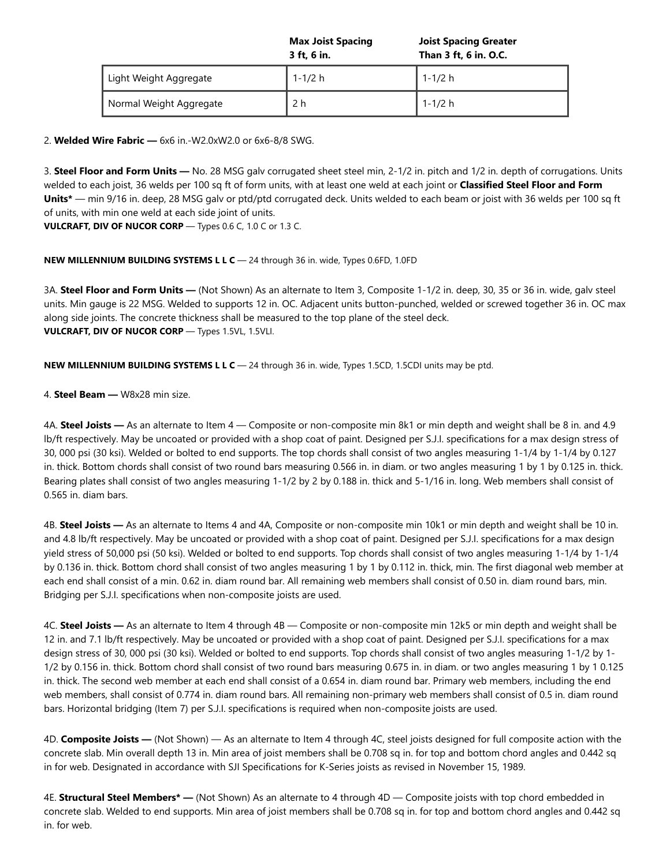|                         | <b>Max Joist Spacing</b><br>3 ft, 6 in. | <b>Joist Spacing Greater</b><br>Than 3 ft, 6 in. O.C. |
|-------------------------|-----------------------------------------|-------------------------------------------------------|
| Light Weight Aggregate  | 1-1/2 h                                 | 1-1/2 h                                               |
| Normal Weight Aggregate | 2 h                                     | 1-1/2 h                                               |

2. **Welded Wire Fabric —** 6x6 in.-W2.0xW2.0 or 6x6-8/8 SWG.

3. **Steel Floor and Form Units —** No. 28 MSG galv corrugated sheet steel min, 2-1/2 in. pitch and 1/2 in. depth of corrugations. Units welded to each joist, 36 welds per 100 sq ft of form units, with at least one weld at each joint or **Classified Steel Floor and Form Units\*** — min 9/16 in. deep, 28 MSG galv or ptd/ptd corrugated deck. Units welded to each beam or joist with 36 welds per 100 sq ft of units, with min one weld at each side joint of units.

**VULCRAFT, DIV OF NUCOR CORP** — Types 0.6 C, 1.0 C or 1.3 C.

#### **NEW MILLENNIUM BUILDING SYSTEMS L L C** — 24 through 36 in. wide, Types 0.6FD, 1.0FD

3A. **Steel Floor and Form Units —** (Not Shown) As an alternate to Item 3, Composite 1-1/2 in. deep, 30, 35 or 36 in. wide, galv steel units. Min gauge is 22 MSG. Welded to supports 12 in. OC. Adjacent units button-punched, welded or screwed together 36 in. OC max along side joints. The concrete thickness shall be measured to the top plane of the steel deck. **VULCRAFT, DIV OF NUCOR CORP** — Types 1.5VL, 1.5VLI.

**NEW MILLENNIUM BUILDING SYSTEMS L L C** — 24 through 36 in. wide, Types 1.5CD, 1.5CDI units may be ptd.

4. **Steel Beam —** W8x28 min size.

4A. **Steel Joists —** As an alternate to Item 4 — Composite or non-composite min 8k1 or min depth and weight shall be 8 in. and 4.9 lb/ft respectively. May be uncoated or provided with a shop coat of paint. Designed per S.J.I. specifications for a max design stress of 30, 000 psi (30 ksi). Welded or bolted to end supports. The top chords shall consist of two angles measuring 1-1/4 by 1-1/4 by 0.127 in. thick. Bottom chords shall consist of two round bars measuring 0.566 in. in diam. or two angles measuring 1 by 1 by 0.125 in. thick. Bearing plates shall consist of two angles measuring 1-1/2 by 2 by 0.188 in. thick and 5-1/16 in. long. Web members shall consist of 0.565 in. diam bars.

4B. **Steel Joists —** As an alternate to Items 4 and 4A, Composite or non-composite min 10k1 or min depth and weight shall be 10 in. and 4.8 lb/ft respectively. May be uncoated or provided with a shop coat of paint. Designed per S.J.I. specifications for a max design yield stress of 50,000 psi (50 ksi). Welded or bolted to end supports. Top chords shall consist of two angles measuring 1-1/4 by 1-1/4 by 0.136 in. thick. Bottom chord shall consist of two angles measuring 1 by 1 by 0.112 in. thick, min. The first diagonal web member at each end shall consist of a min. 0.62 in. diam round bar. All remaining web members shall consist of 0.50 in. diam round bars, min. Bridging per S.J.I. specifications when non-composite joists are used.

4C. **Steel Joists —** As an alternate to Item 4 through 4B — Composite or non-composite min 12k5 or min depth and weight shall be 12 in. and 7.1 lb/ft respectively. May be uncoated or provided with a shop coat of paint. Designed per S.J.I. specifications for a max design stress of 30, 000 psi (30 ksi). Welded or bolted to end supports. Top chords shall consist of two angles measuring 1-1/2 by 1- 1/2 by 0.156 in. thick. Bottom chord shall consist of two round bars measuring 0.675 in. in diam. or two angles measuring 1 by 1 0.125 in. thick. The second web member at each end shall consist of a 0.654 in. diam round bar. Primary web members, including the end web members, shall consist of 0.774 in. diam round bars. All remaining non-primary web members shall consist of 0.5 in. diam round bars. Horizontal bridging (Item 7) per S.J.I. specifications is required when non-composite joists are used.

4D. **Composite Joists —** (Not Shown) — As an alternate to Item 4 through 4C, steel joists designed for full composite action with the concrete slab. Min overall depth 13 in. Min area of joist members shall be 0.708 sq in. for top and bottom chord angles and 0.442 sq in for web. Designated in accordance with SJI Specifications for K-Series joists as revised in November 15, 1989.

4E. **Structural Steel Members\* —** (Not Shown) As an alternate to 4 through 4D — Composite joists with top chord embedded in concrete slab. Welded to end supports. Min area of joist members shall be 0.708 sq in. for top and bottom chord angles and 0.442 sq in. for web.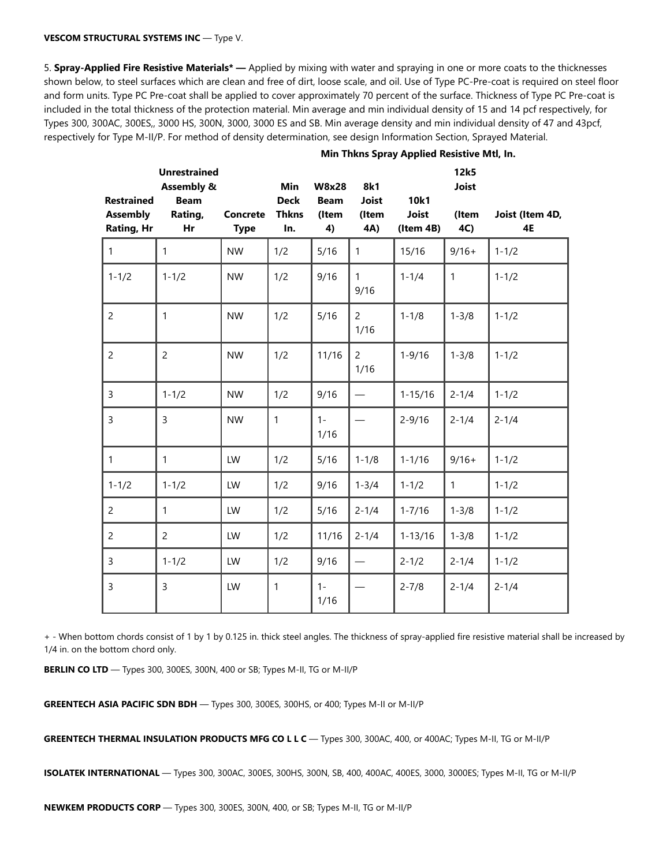#### **VESCOM STRUCTURAL SYSTEMS INC** — Type V.

5. **Spray-Applied Fire Resistive Materials\* —** Applied by mixing with water and spraying in one or more coats to the thicknesses shown below, to steel surfaces which are clean and free of dirt, loose scale, and oil. Use of Type PC-Pre-coat is required on steel floor and form units. Type PC Pre-coat shall be applied to cover approximately 70 percent of the surface. Thickness of Type PC Pre-coat is included in the total thickness of the protection material. Min average and min individual density of 15 and 14 pcf respectively, for Types 300, 300AC, 300ES,, 3000 HS, 300N, 3000, 3000 ES and SB. Min average density and min individual density of 47 and 43pcf, respectively for Type M-II/P. For method of density determination, see design Information Section, Sprayed Material.

|                                                    | <b>Unrestrained</b><br><b>Assembly &amp;</b> |                         | Min                                | <b>W8x28</b>               | 8k1                          |                                   | 12k5<br><b>Joist</b> |                       |
|----------------------------------------------------|----------------------------------------------|-------------------------|------------------------------------|----------------------------|------------------------------|-----------------------------------|----------------------|-----------------------|
| <b>Restrained</b><br><b>Assembly</b><br>Rating, Hr | <b>Beam</b><br>Rating,<br>Hr                 | Concrete<br><b>Type</b> | <b>Deck</b><br><b>Thkns</b><br>In. | <b>Beam</b><br>(Item<br>4) | <b>Joist</b><br>(Item<br>4A) | 10k1<br><b>Joist</b><br>(Item 4B) | (Item<br>4C)         | Joist (Item 4D,<br>4E |
| $\mathbf{1}$                                       | $\mathbf{1}$                                 | <b>NW</b>               | 1/2                                | 5/16                       | $\mathbf{1}$                 | 15/16                             | $9/16+$              | $1 - 1/2$             |
| $1 - 1/2$                                          | $1 - 1/2$                                    | <b>NW</b>               | 1/2                                | 9/16                       | 1<br>9/16                    | $1 - 1/4$                         | $\mathbf{1}$         | $1 - 1/2$             |
| $\overline{2}$                                     | 1                                            | <b>NW</b>               | 1/2                                | 5/16                       | $\overline{2}$<br>1/16       | $1 - 1/8$                         | $1 - 3/8$            | $1 - 1/2$             |
| $\overline{2}$                                     | $\overline{c}$                               | <b>NW</b>               | 1/2                                | 11/16                      | $\overline{2}$<br>1/16       | $1 - 9/16$                        | $1 - 3/8$            | $1 - 1/2$             |
| 3                                                  | $1 - 1/2$                                    | <b>NW</b>               | 1/2                                | 9/16                       |                              | $1 - 15/16$                       | $2 - 1/4$            | $1 - 1/2$             |
| 3                                                  | 3                                            | <b>NW</b>               | $\mathbf{1}$                       | $1 -$<br>1/16              |                              | $2 - 9/16$                        | $2 - 1/4$            | $2 - 1/4$             |
| $\mathbf{1}$                                       | $\mathbf{1}$                                 | LW                      | 1/2                                | 5/16                       | $1 - 1/8$                    | $1 - 1/16$                        | $9/16+$              | $1 - 1/2$             |
| $1 - 1/2$                                          | $1 - 1/2$                                    | LW                      | 1/2                                | 9/16                       | $1 - 3/4$                    | $1 - 1/2$                         | $\mathbf{1}$         | $1 - 1/2$             |
| $\overline{2}$                                     | 1                                            | LW                      | 1/2                                | 5/16                       | $2 - 1/4$                    | $1 - 7/16$                        | $1 - 3/8$            | $1 - 1/2$             |
| $\overline{c}$                                     | $\overline{c}$                               | LW                      | 1/2                                | 11/16                      | $2 - 1/4$                    | $1 - 13/16$                       | $1 - 3/8$            | $1 - 1/2$             |
| 3                                                  | $1 - 1/2$                                    | LW                      | 1/2                                | 9/16                       | $\overline{\phantom{m}}$     | $2 - 1/2$                         | $2 - 1/4$            | $1 - 1/2$             |
| 3                                                  | 3                                            | LW                      | $\mathbf{1}$                       | $1 -$<br>1/16              |                              | $2 - 7/8$                         | $2 - 1/4$            | $2 - 1/4$             |

#### **Min Thkns Spray Applied Resistive Mtl, In.**

+ - When bottom chords consist of 1 by 1 by 0.125 in. thick steel angles. The thickness of spray-applied fire resistive material shall be increased by 1/4 in. on the bottom chord only.

**BERLIN CO LTD** — Types 300, 300ES, 300N, 400 or SB; Types M-II, TG or M-II/P

**GREENTECH ASIA PACIFIC SDN BDH** — Types 300, 300ES, 300HS, or 400; Types M-II or M-II/P

**GREENTECH THERMAL INSULATION PRODUCTS MFG CO L L C** — Types 300, 300AC, 400, or 400AC; Types M-II, TG or M-II/P

**ISOLATEK INTERNATIONAL** — Types 300, 300AC, 300ES, 300HS, 300N, SB, 400, 400AC, 400ES, 3000, 3000ES; Types M-II, TG or M-II/P

**NEWKEM PRODUCTS CORP** — Types 300, 300ES, 300N, 400, or SB; Types M-II, TG or M-II/P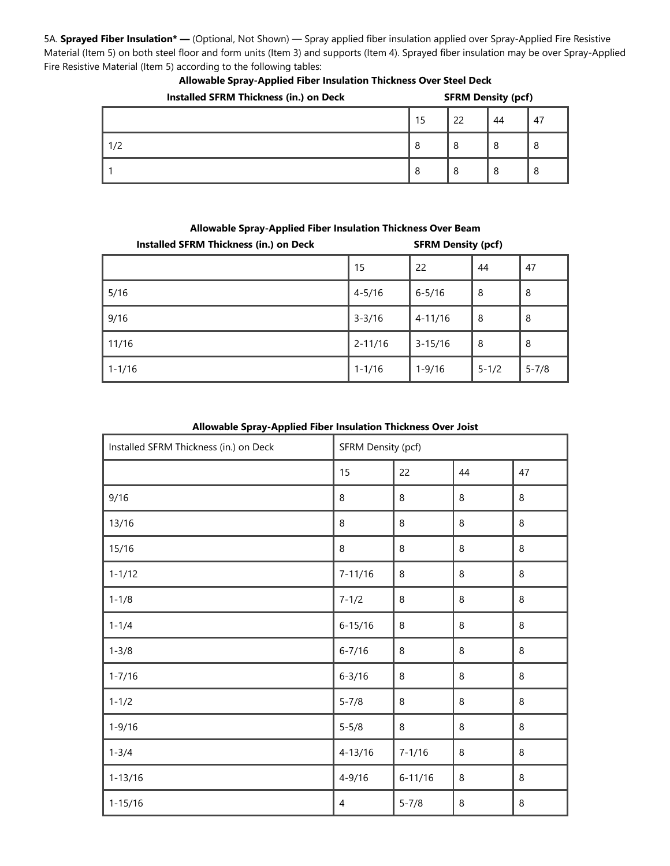5A. **Sprayed Fiber Insulation\* —** (Optional, Not Shown) — Spray applied fiber insulation applied over Spray-Applied Fire Resistive Material (Item 5) on both steel floor and form units (Item 3) and supports (Item 4). Sprayed fiber insulation may be over Spray-Applied Fire Resistive Material (Item 5) according to the following tables:

| Installed SFRM Thickness (in.) on Deck |    | <b>SFRM Density (pcf)</b> |    |    |  |
|----------------------------------------|----|---------------------------|----|----|--|
|                                        | 15 | 22                        | 44 | 47 |  |
| 1/2                                    | 8  | 8                         | 8  | 8  |  |
|                                        | 8  | 8                         | 8  | 8  |  |

#### **Allowable Spray-Applied Fiber Insulation Thickness Over Steel Deck**

| Installed SFRM Thickness (in.) on Deck | <b>SFRM Density (pcf)</b> |             |           |           |
|----------------------------------------|---------------------------|-------------|-----------|-----------|
|                                        | 15                        | 22          | 44        | 47        |
| 5/16                                   | $4 - 5/16$                | $6 - 5/16$  | 8         | 8         |
| 9/16                                   | $3 - 3/16$                | $4 - 11/16$ | 8         | -8        |
| 11/16                                  | $2 - 11/16$               | $3 - 15/16$ | 8         | -8        |
| $1 - 1/16$                             | $1 - 1/16$                | $1 - 9/16$  | $5 - 1/2$ | $5 - 7/8$ |

#### **Allowable Spray-Applied Fiber Insulation Thickness Over Beam**

#### **Allowable Spray-Applied Fiber Insulation Thickness Over Joist**

| Installed SFRM Thickness (in.) on Deck | SFRM Density (pcf) |             |         |         |
|----------------------------------------|--------------------|-------------|---------|---------|
|                                        | 15                 | 22          | 44      | 47      |
| 9/16                                   | 8                  | 8           | $\,8\,$ | 8       |
| 13/16                                  | 8                  | 8           | 8       | 8       |
| 15/16                                  | 8                  | 8           | $\,8\,$ | $\,8\,$ |
| $1 - 1/12$                             | $7 - 11/16$        | 8           | 8       | 8       |
| $1 - 1/8$                              | $7 - 1/2$          | 8           | $\,8\,$ | 8       |
| $1 - 1/4$                              | $6 - 15/16$        | 8           | 8       | 8       |
| $1 - 3/8$                              | $6 - 7/16$         | 8           | 8       | 8       |
| $1 - 7/16$                             | $6 - 3/16$         | 8           | $\, 8$  | 8       |
| $1 - 1/2$                              | $5 - 7/8$          | $\,8\,$     | $\,8\,$ | 8       |
| $1 - 9/16$                             | $5 - 5/8$          | 8           | $\, 8$  | 8       |
| $1 - 3/4$                              | $4 - 13/16$        | $7 - 1/16$  | $\,8\,$ | 8       |
| $1 - 13/16$                            | $4 - 9/16$         | $6 - 11/16$ | $\, 8$  | 8       |
| $1 - 15/16$                            | 4                  | $5 - 7/8$   | $\,8\,$ | 8       |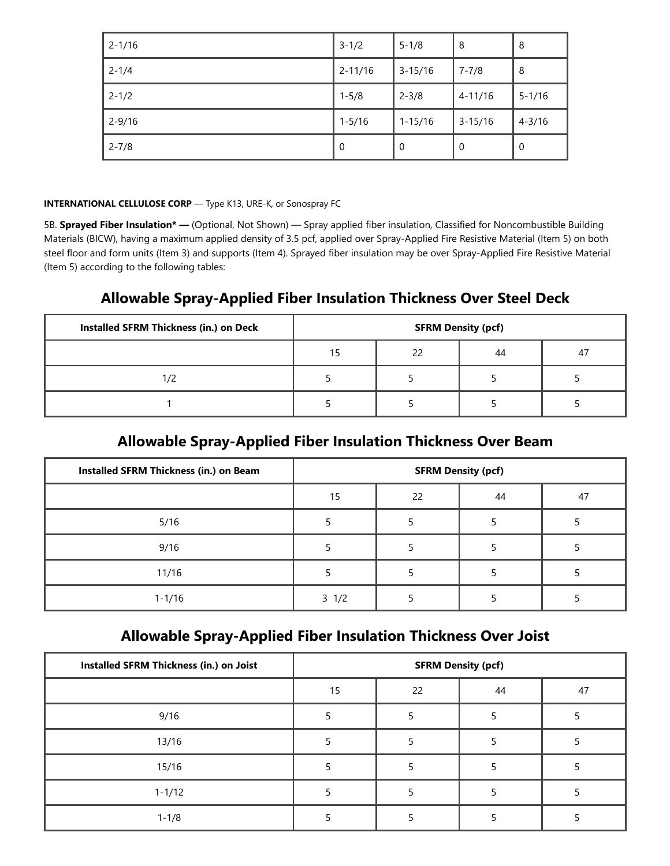| $2 - 1/16$ | $3 - 1/2$   | $5 - 1/8$   | 8           | 8           |
|------------|-------------|-------------|-------------|-------------|
| $2 - 1/4$  | $2 - 11/16$ | $3 - 15/16$ | $7 - 7/8$   | 8           |
| $2 - 1/2$  | $1 - 5/8$   | $2 - 3/8$   | $4 - 11/16$ | $5 - 1/16$  |
| $2 - 9/16$ | $1 - 5/16$  | $1 - 15/16$ | $3 - 15/16$ | $4 - 3/16$  |
| $2 - 7/8$  | 0           | 0           | $\mathbf 0$ | $\mathbf 0$ |

#### **INTERNATIONAL CELLULOSE CORP** — Type K13, URE-K, or Sonospray FC

5B. **Sprayed Fiber Insulation\* —** (Optional, Not Shown) — Spray applied fiber insulation, Classified for Noncombustible Building Materials (BICW), having a maximum applied density of 3.5 pcf, applied over Spray-Applied Fire Resistive Material (Item 5) on both steel floor and form units (Item 3) and supports (Item 4). Sprayed fiber insulation may be over Spray-Applied Fire Resistive Material (Item 5) according to the following tables:

## **Allowable Spray-Applied Fiber Insulation Thickness Over Steel Deck**

| Installed SFRM Thickness (in.) on Deck | <b>SFRM Density (pcf)</b> |    |    |    |  |
|----------------------------------------|---------------------------|----|----|----|--|
|                                        | 15                        | 22 | 44 | 47 |  |
| 1/2                                    |                           |    |    |    |  |
|                                        |                           |    |    |    |  |

## **Allowable Spray-Applied Fiber Insulation Thickness Over Beam**

| Installed SFRM Thickness (in.) on Beam | <b>SFRM Density (pcf)</b> |    |    |    |  |
|----------------------------------------|---------------------------|----|----|----|--|
|                                        | 15                        | 22 | 44 | 47 |  |
| 5/16                                   |                           |    |    |    |  |
| 9/16                                   |                           |    |    |    |  |
| 11/16                                  |                           |    |    |    |  |
| $1 - 1/16$                             | $3 \frac{1}{2}$           |    |    |    |  |

## **Allowable Spray-Applied Fiber Insulation Thickness Over Joist**

| Installed SFRM Thickness (in.) on Joist | <b>SFRM Density (pcf)</b> |    |    |    |  |
|-----------------------------------------|---------------------------|----|----|----|--|
|                                         | 15                        | 22 | 44 | 47 |  |
| 9/16                                    |                           |    |    |    |  |
| 13/16                                   |                           |    |    |    |  |
| 15/16                                   |                           |    |    |    |  |
| $1 - 1/12$                              |                           |    |    |    |  |
| $1 - 1/8$                               |                           |    |    |    |  |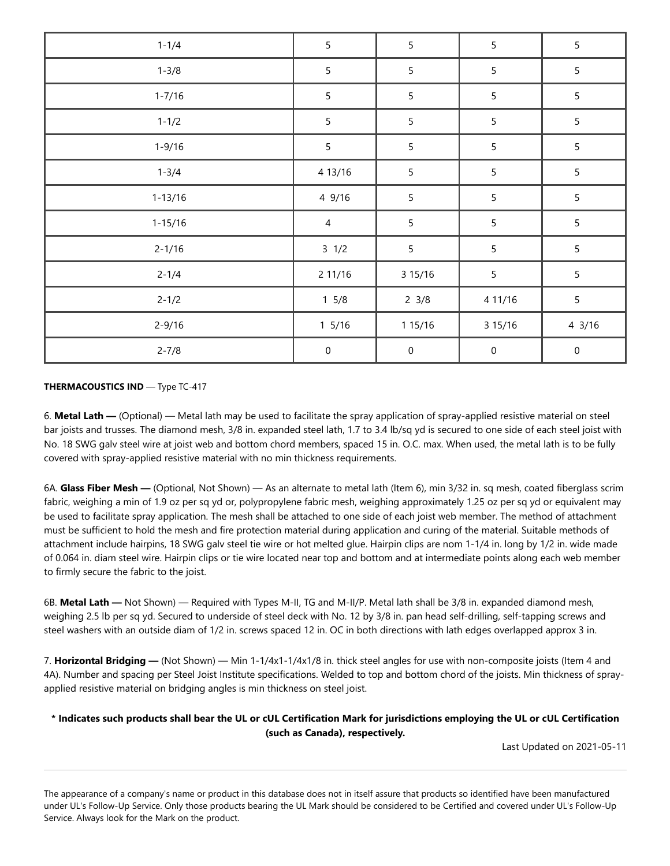| $1 - 1/4$   | $\sqrt{5}$      | 5               | 5                | 5                |
|-------------|-----------------|-----------------|------------------|------------------|
| $1 - 3/8$   | $\sqrt{5}$      | 5               | $\overline{5}$   | 5                |
| $1 - 7/16$  | $\overline{5}$  | 5               | 5                | 5                |
| $1 - 1/2$   | 5               | 5               | $\sqrt{5}$       | 5                |
| $1 - 9/16$  | 5               | 5               | $\sqrt{5}$       | 5                |
| $1 - 3/4$   | 4 13/16         | 5               | $\sqrt{5}$       | 5                |
| $1 - 13/16$ | 4 9/16          | 5               | 5                | $5\phantom{.0}$  |
| $1 - 15/16$ | $\overline{4}$  | 5               | $\overline{5}$   | 5                |
| $2 - 1/16$  | $3 \frac{1}{2}$ | 5               | $\overline{5}$   | 5                |
| $2 - 1/4$   | 2 11/16         | 3 15/16         | $\sqrt{5}$       | 5                |
| $2 - 1/2$   | $1 \frac{5}{8}$ | $2 \frac{3}{8}$ | 4 11/16          | 5                |
| $2 - 9/16$  | $1\,5/16$       | 1 15/16         | 3 15/16          | $4 \frac{3}{16}$ |
| $2 - 7/8$   | $\pmb{0}$       | $\mathbf 0$     | $\boldsymbol{0}$ | $\mathbf 0$      |

#### **THERMACOUSTICS IND** — Type TC-417

6. **Metal Lath —** (Optional) — Metal lath may be used to facilitate the spray application of spray-applied resistive material on steel bar joists and trusses. The diamond mesh, 3/8 in. expanded steel lath, 1.7 to 3.4 lb/sq yd is secured to one side of each steel joist with No. 18 SWG galv steel wire at joist web and bottom chord members, spaced 15 in. O.C. max. When used, the metal lath is to be fully covered with spray-applied resistive material with no min thickness requirements.

6A. **Glass Fiber Mesh —** (Optional, Not Shown) — As an alternate to metal lath (Item 6), min 3/32 in. sq mesh, coated fiberglass scrim fabric, weighing a min of 1.9 oz per sq yd or, polypropylene fabric mesh, weighing approximately 1.25 oz per sq yd or equivalent may be used to facilitate spray application. The mesh shall be attached to one side of each joist web member. The method of attachment must be sufficient to hold the mesh and fire protection material during application and curing of the material. Suitable methods of attachment include hairpins, 18 SWG galv steel tie wire or hot melted glue. Hairpin clips are nom 1-1/4 in. long by 1/2 in. wide made of 0.064 in. diam steel wire. Hairpin clips or tie wire located near top and bottom and at intermediate points along each web member to firmly secure the fabric to the joist.

6B. **Metal Lath —** Not Shown) — Required with Types M-II, TG and M-II/P. Metal lath shall be 3/8 in. expanded diamond mesh, weighing 2.5 lb per sq yd. Secured to underside of steel deck with No. 12 by 3/8 in. pan head self-drilling, self-tapping screws and steel washers with an outside diam of 1/2 in. screws spaced 12 in. OC in both directions with lath edges overlapped approx 3 in.

7. **Horizontal Bridging —** (Not Shown) — Min 1-1/4x1-1/4x1/8 in. thick steel angles for use with non-composite joists (Item 4 and 4A). Number and spacing per Steel Joist Institute specifications. Welded to top and bottom chord of the joists. Min thickness of sprayapplied resistive material on bridging angles is min thickness on steel joist.

#### **\* Indicates such products shall bear the UL or cUL Certification Mark for jurisdictions employing the UL or cUL Certification (such as Canada), respectively.**

Last Updated on 2021-05-11

The appearance of a company's name or product in this database does not in itself assure that products so identified have been manufactured under UL's Follow-Up Service. Only those products bearing the UL Mark should be considered to be Certified and covered under UL's Follow-Up Service. Always look for the Mark on the product.